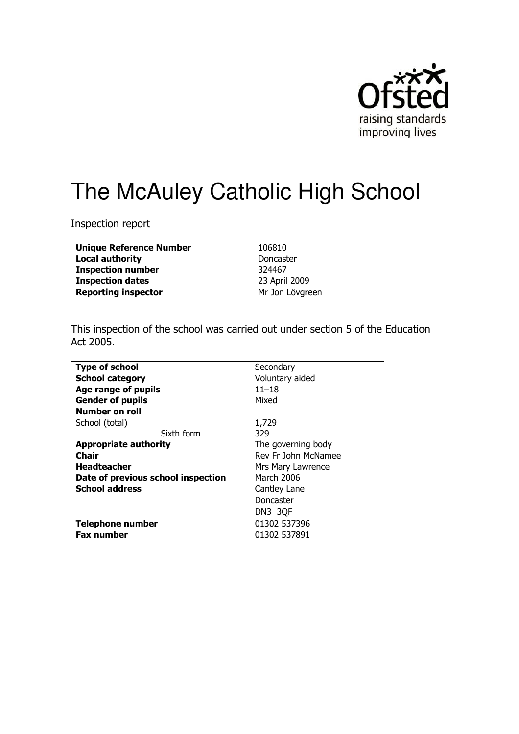

# The McAuley Catholic High School

Inspection report

**Unique Reference Number Local authority Inspection number Inspection dates Reporting inspector** 

106810 Doncaster 324467 23 April 2009 Mr Jon Lövgreen

This inspection of the school was carried out under section 5 of the Education Act 2005.

| Secondary           |
|---------------------|
| Voluntary aided     |
| $11 - 18$           |
| Mixed               |
|                     |
| 1,729               |
| 329                 |
| The governing body  |
| Rev Fr John McNamee |
| Mrs Mary Lawrence   |
| March 2006          |
| Cantley Lane        |
| Doncaster           |
| DN3 3QF             |
| 01302 537396        |
| 01302 537891        |
|                     |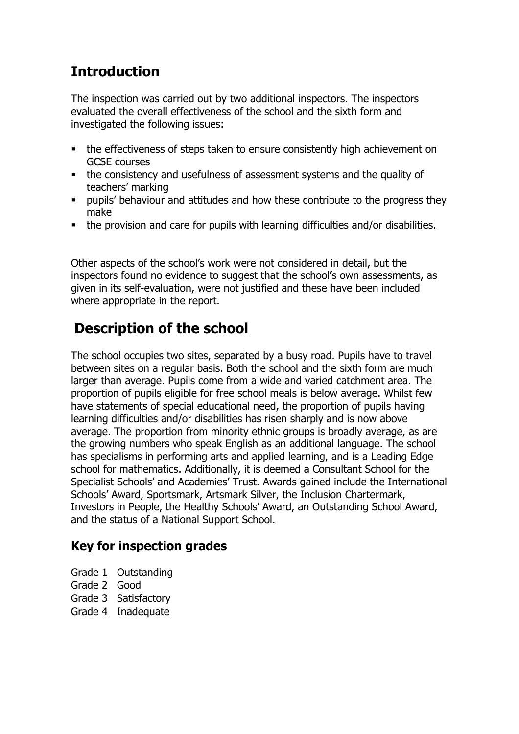## **Introduction**

The inspection was carried out by two additional inspectors. The inspectors evaluated the overall effectiveness of the school and the sixth form and investigated the following issues:

- the effectiveness of steps taken to ensure consistently high achievement on **GCSE** courses
- the consistency and usefulness of assessment systems and the quality of teachers' marking
- pupils' behaviour and attitudes and how these contribute to the progress they make
- the provision and care for pupils with learning difficulties and/or disabilities.

Other aspects of the school's work were not considered in detail, but the inspectors found no evidence to suggest that the school's own assessments, as given in its self-evaluation, were not justified and these have been included where appropriate in the report.

## **Description of the school**

The school occupies two sites, separated by a busy road. Pupils have to travel between sites on a regular basis. Both the school and the sixth form are much larger than average. Pupils come from a wide and varied catchment area. The proportion of pupils eligible for free school meals is below average. Whilst few have statements of special educational need, the proportion of pupils having learning difficulties and/or disabilities has risen sharply and is now above average. The proportion from minority ethnic groups is broadly average, as are the growing numbers who speak English as an additional language. The school has specialisms in performing arts and applied learning, and is a Leading Edge school for mathematics. Additionally, it is deemed a Consultant School for the Specialist Schools' and Academies' Trust. Awards gained include the International Schools' Award, Sportsmark, Artsmark Silver, the Inclusion Chartermark, Investors in People, the Healthy Schools' Award, an Outstanding School Award, and the status of a National Support School.

### **Key for inspection grades**

- Grade 1 Outstanding
- Grade 2 Good
- Grade 3 Satisfactory
- Grade 4 Inadequate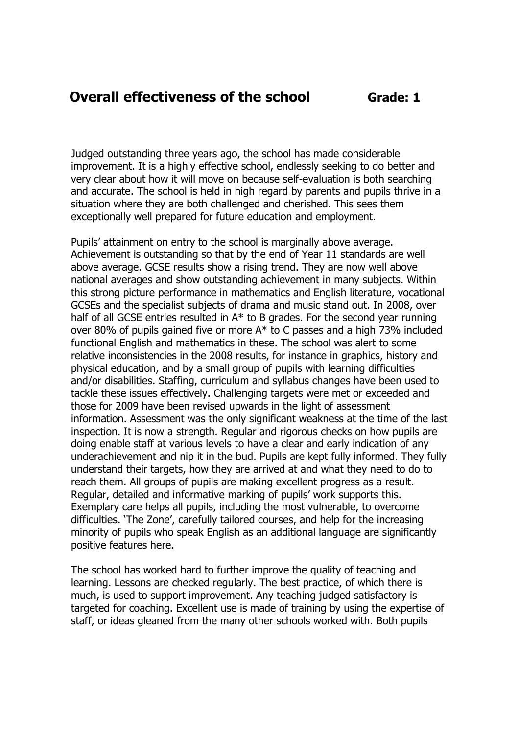#### **Overall effectiveness of the school**

Grade: 1

Judged outstanding three years ago, the school has made considerable improvement. It is a highly effective school, endlessly seeking to do better and very clear about how it will move on because self-evaluation is both searching and accurate. The school is held in high regard by parents and pupils thrive in a situation where they are both challenged and cherished. This sees them exceptionally well prepared for future education and employment.

Pupils' attainment on entry to the school is marginally above average. Achievement is outstanding so that by the end of Year 11 standards are well above average. GCSE results show a rising trend. They are now well above national averages and show outstanding achievement in many subjects. Within this strong picture performance in mathematics and English literature, vocational GCSEs and the specialist subjects of drama and music stand out. In 2008, over half of all GCSE entries resulted in  $A^*$  to B grades. For the second year running over 80% of pupils gained five or more A\* to C passes and a high 73% included functional English and mathematics in these. The school was alert to some relative inconsistencies in the 2008 results, for instance in graphics, history and physical education, and by a small group of pupils with learning difficulties and/or disabilities. Staffing, curriculum and syllabus changes have been used to tackle these issues effectively. Challenging targets were met or exceeded and those for 2009 have been revised upwards in the light of assessment information. Assessment was the only significant weakness at the time of the last inspection. It is now a strength. Regular and rigorous checks on how pupils are doing enable staff at various levels to have a clear and early indication of any underachievement and nip it in the bud. Pupils are kept fully informed. They fully understand their targets, how they are arrived at and what they need to do to reach them. All groups of pupils are making excellent progress as a result. Regular, detailed and informative marking of pupils' work supports this. Exemplary care helps all pupils, including the most vulnerable, to overcome difficulties. 'The Zone', carefully tailored courses, and help for the increasing minority of pupils who speak English as an additional language are significantly positive features here.

The school has worked hard to further improve the quality of teaching and learning. Lessons are checked regularly. The best practice, of which there is much, is used to support improvement. Any teaching judged satisfactory is targeted for coaching. Excellent use is made of training by using the expertise of staff, or ideas gleaned from the many other schools worked with. Both pupils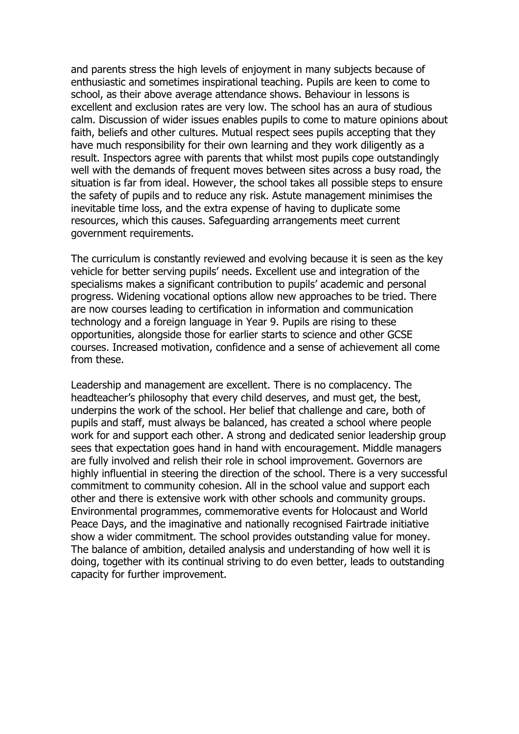and parents stress the high levels of enjoyment in many subjects because of enthusiastic and sometimes inspirational teaching. Pupils are keen to come to school, as their above average attendance shows. Behaviour in lessons is excellent and exclusion rates are very low. The school has an aura of studious calm. Discussion of wider issues enables pupils to come to mature opinions about faith, beliefs and other cultures. Mutual respect sees pupils accepting that they have much responsibility for their own learning and they work diligently as a result. Inspectors agree with parents that whilst most pupils cope outstandingly well with the demands of frequent moves between sites across a busy road, the situation is far from ideal. However, the school takes all possible steps to ensure the safety of pupils and to reduce any risk. Astute management minimises the inevitable time loss, and the extra expense of having to duplicate some resources, which this causes. Safeguarding arrangements meet current government requirements.

The curriculum is constantly reviewed and evolving because it is seen as the key vehicle for better serving pupils' needs. Excellent use and integration of the specialisms makes a significant contribution to pupils' academic and personal progress. Widening vocational options allow new approaches to be tried. There are now courses leading to certification in information and communication technology and a foreign language in Year 9. Pupils are rising to these opportunities, alongside those for earlier starts to science and other GCSE courses. Increased motivation, confidence and a sense of achievement all come from these.

Leadership and management are excellent. There is no complacency. The headteacher's philosophy that every child deserves, and must get, the best, underpins the work of the school. Her belief that challenge and care, both of pupils and staff, must always be balanced, has created a school where people work for and support each other. A strong and dedicated senior leadership group sees that expectation goes hand in hand with encouragement. Middle managers are fully involved and relish their role in school improvement. Governors are highly influential in steering the direction of the school. There is a very successful commitment to community cohesion. All in the school value and support each other and there is extensive work with other schools and community groups. Environmental programmes, commemorative events for Holocaust and World Peace Days, and the imaginative and nationally recognised Fairtrade initiative show a wider commitment. The school provides outstanding value for money. The balance of ambition, detailed analysis and understanding of how well it is doing, together with its continual striving to do even better, leads to outstanding capacity for further improvement.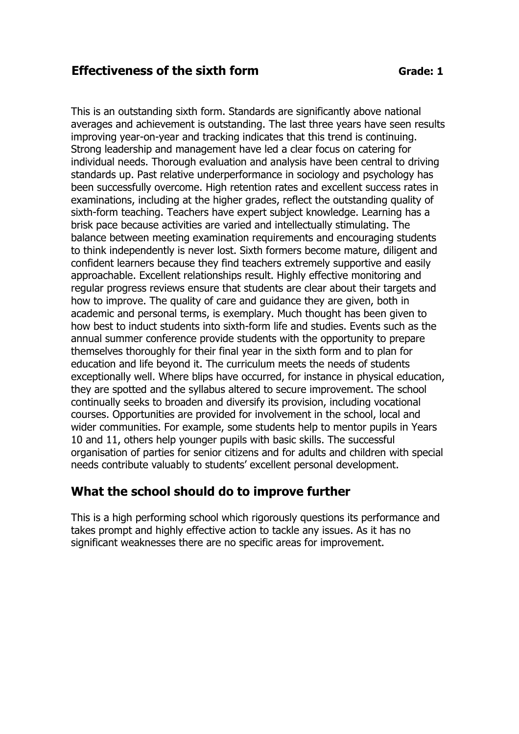#### **Effectiveness of the sixth form**

This is an outstanding sixth form. Standards are significantly above national averages and achievement is outstanding. The last three years have seen results improving year-on-year and tracking indicates that this trend is continuing. Strong leadership and management have led a clear focus on catering for individual needs. Thorough evaluation and analysis have been central to driving standards up. Past relative underperformance in sociology and psychology has been successfully overcome. High retention rates and excellent success rates in examinations, including at the higher grades, reflect the outstanding quality of sixth-form teaching. Teachers have expert subject knowledge. Learning has a brisk pace because activities are varied and intellectually stimulating. The balance between meeting examination requirements and encouraging students to think independently is never lost. Sixth formers become mature, diligent and confident learners because they find teachers extremely supportive and easily approachable. Excellent relationships result. Highly effective monitoring and regular progress reviews ensure that students are clear about their targets and how to improve. The quality of care and quidance they are given, both in academic and personal terms, is exemplary. Much thought has been given to how best to induct students into sixth-form life and studies. Events such as the annual summer conference provide students with the opportunity to prepare themselves thoroughly for their final year in the sixth form and to plan for education and life beyond it. The curriculum meets the needs of students exceptionally well. Where blips have occurred, for instance in physical education, they are spotted and the syllabus altered to secure improvement. The school continually seeks to broaden and diversify its provision, including vocational courses. Opportunities are provided for involvement in the school, local and wider communities. For example, some students help to mentor pupils in Years 10 and 11, others help younger pupils with basic skills. The successful organisation of parties for senior citizens and for adults and children with special needs contribute valuably to students' excellent personal development.

#### What the school should do to improve further

This is a high performing school which rigorously questions its performance and takes prompt and highly effective action to tackle any issues. As it has no significant weaknesses there are no specific areas for improvement.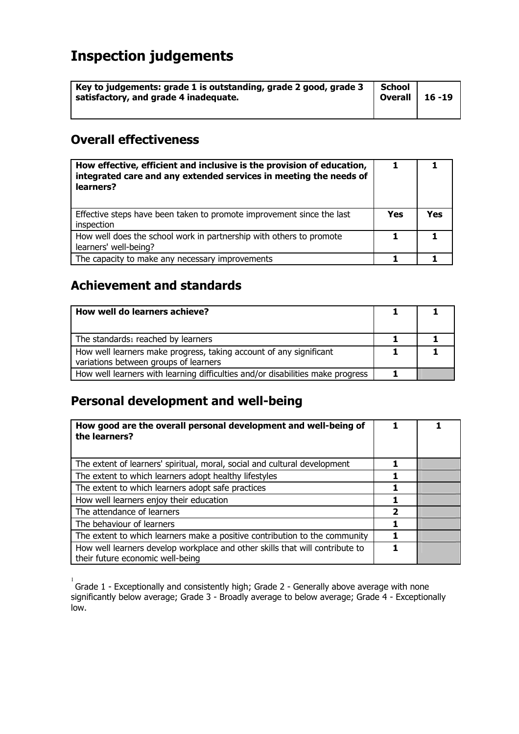# **Inspection judgements**

| Key to judgements: grade 1 is outstanding, grade 2 good, grade 3<br>satisfactory, and grade 4 inadequate. | School<br>Overall $\vert$ 16 -19 |  |
|-----------------------------------------------------------------------------------------------------------|----------------------------------|--|
|                                                                                                           |                                  |  |

#### **Overall effectiveness**

| How effective, efficient and inclusive is the provision of education,<br>integrated care and any extended services in meeting the needs of<br>learners? |            |     |
|---------------------------------------------------------------------------------------------------------------------------------------------------------|------------|-----|
| Effective steps have been taken to promote improvement since the last<br>inspection                                                                     | <b>Yes</b> | Yes |
| How well does the school work in partnership with others to promote<br>learners' well-being?                                                            |            |     |
| The capacity to make any necessary improvements                                                                                                         |            |     |

### **Achievement and standards**

| How well do learners achieve?                                                                               |  |
|-------------------------------------------------------------------------------------------------------------|--|
| The standards1 reached by learners                                                                          |  |
| How well learners make progress, taking account of any significant<br>variations between groups of learners |  |
| How well learners with learning difficulties and/or disabilities make progress                              |  |

### Personal development and well-being

| How good are the overall personal development and well-being of<br>the learners?                                 |                         |  |
|------------------------------------------------------------------------------------------------------------------|-------------------------|--|
| The extent of learners' spiritual, moral, social and cultural development                                        |                         |  |
| The extent to which learners adopt healthy lifestyles                                                            |                         |  |
| The extent to which learners adopt safe practices                                                                | 1                       |  |
| How well learners enjoy their education                                                                          |                         |  |
| The attendance of learners                                                                                       | $\overline{\mathbf{2}}$ |  |
| The behaviour of learners                                                                                        |                         |  |
| The extent to which learners make a positive contribution to the community                                       |                         |  |
| How well learners develop workplace and other skills that will contribute to<br>their future economic well-being |                         |  |

 $\frac{1}{1}$  Grade 1 - Exceptionally and consistently high; Grade 2 - Generally above average with none<br>significantly below average; Grade 3 - Broadly average to below average; Grade 4 - Exceptionally  $low.$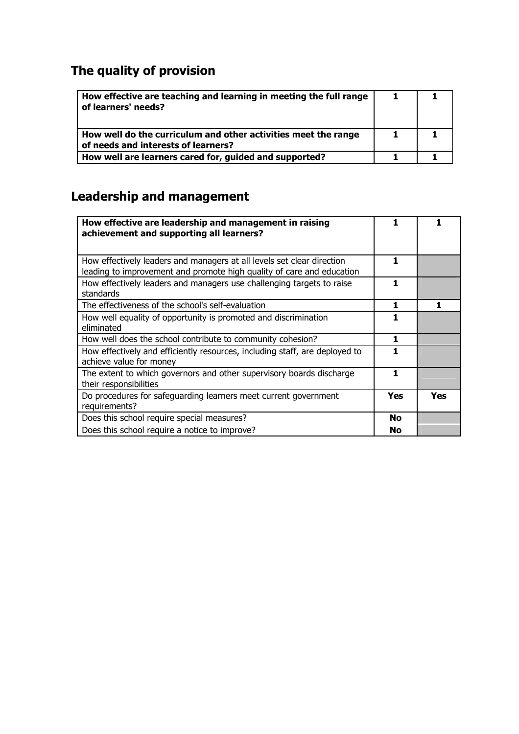# The quality of provision

| How effective are teaching and learning in meeting the full range<br>of learners' needs?              | 1 |  |
|-------------------------------------------------------------------------------------------------------|---|--|
| How well do the curriculum and other activities meet the range<br>of needs and interests of learners? |   |  |
| How well are learners cared for, guided and supported?                                                |   |  |

## **Leadership and management**

| How effective are leadership and management in raising<br>achievement and supporting all learners?                                              | 1.  | 1   |
|-------------------------------------------------------------------------------------------------------------------------------------------------|-----|-----|
| How effectively leaders and managers at all levels set clear direction<br>leading to improvement and promote high quality of care and education | 1   |     |
| How effectively leaders and managers use challenging targets to raise<br>standards                                                              | 1   |     |
| The effectiveness of the school's self-evaluation                                                                                               | 1.  | 1   |
| How well equality of opportunity is promoted and discrimination<br>eliminated                                                                   | 1.  |     |
| How well does the school contribute to community cohesion?                                                                                      | 1   |     |
| How effectively and efficiently resources, including staff, are deployed to<br>achieve value for money                                          |     |     |
| The extent to which governors and other supervisory boards discharge<br>their responsibilities                                                  | 1   |     |
| Do procedures for safeguarding learners meet current government<br>requirements?                                                                | Yes | Yes |
| Does this school require special measures?                                                                                                      | No  |     |
| Does this school require a notice to improve?                                                                                                   | No  |     |